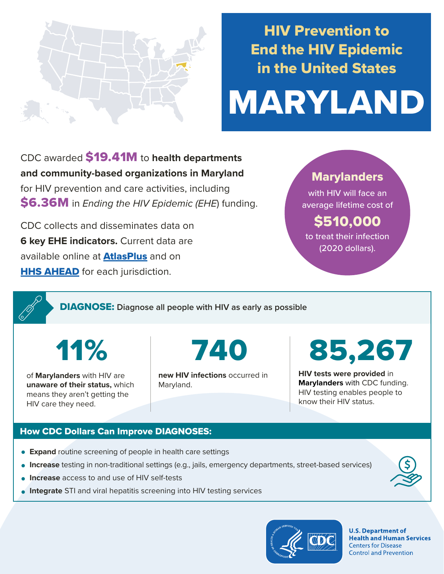

## HIV Prevention to End the HIV Epidemic in the United States

# MARYLAND

CDC awarded \$19.41M to **health departments and community-based organizations in Maryland**  for HIV prevention and care activities, including \$6.36M in *Ending the HIV Epidemic (EHE*) funding.

CDC collects and disseminates data on **6 key EHE indicators.** Current data are available online at **[AtlasPlus](https://www.cdc.gov/nchhstp/atlas/index.htm)** and on **[HHS AHEAD](https://ahead.hiv.gov/)** for each jurisdiction.

### **Marylanders**

with HIV will face an average lifetime cost of

## \$510,000

to treat their infection (2020 dollars).

DIAGNOSE: **Diagnose all people with HIV as early as possible** 

11%

of **Marylanders** with HIV are **unaware of their status,** which means they aren't getting the HIV care they need.

740

**new HIV infections** occurred in Maryland.

85,267

**HIV tests were provided** in **Marylanders** with CDC funding. HIV testing enables people to know their HIV status.

#### How CDC Dollars Can Improve DIAGNOSES:

- **Expand** routine screening of people in health care settings
- **Increase** testing in non-traditional settings (e.g., jails, emergency departments, street-based services)
- **Increase** access to and use of HIV self-tests
- **Integrate** STI and viral hepatitis screening into HIV testing services



**U.S. Department of Health and Human Services Centers for Disease Control and Prevention**